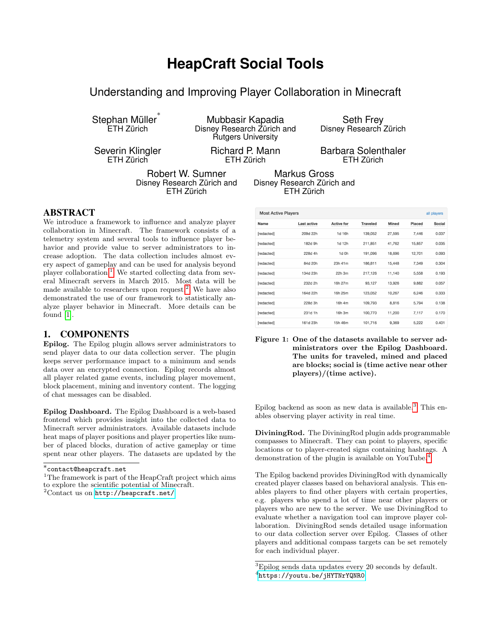# **HeapCraft Social Tools**

Understanding and Improving Player Collaboration in Minecraft

Stephan Müller ∗ ETH Zürich

Severin Klingler ETH Zürich

Mubbasir Kapadia Disney Research Zürich and Rutgers University

> Richard P. Mann ETH Zürich

Seth Frey Disney Research Zürich

Barbara Solenthaler ETH Zürich

Robert W. Sumner Disney Research Zürich and ETH Zürich

Markus Gross Disney Research Zürich and ETH Zürich

## ABSTRACT

We introduce a framework to influence and analyze player collaboration in Minecraft. The framework consists of a telemetry system and several tools to influence player behavior and provide value to server administrators to increase adoption. The data collection includes almost every aspect of gameplay and can be used for analysis beyond player collaboration.<sup>[1](#page-0-0)</sup> We started collecting data from several Minecraft servers in March 2015. Most data will be made available to researchers upon request.<sup>[2](#page-0-1)</sup> We have also demonstrated the use of our framework to statistically analyze player behavior in Minecraft. More details can be found [\[1\]](#page-1-0).

## 1. COMPONENTS

Epilog. The Epilog plugin allows server administrators to send player data to our data collection server. The plugin keeps server performance impact to a minimum and sends data over an encrypted connection. Epilog records almost all player related game events, including player movement, block placement, mining and inventory content. The logging of chat messages can be disabled.

Epilog Dashboard. The Epilog Dashboard is a web-based frontend which provides insight into the collected data to Minecraft server administrators. Available datasets include heat maps of player positions and player properties like number of placed blocks, duration of active gameplay or time spent near other players. The datasets are updated by the

| <b>Most Active Players</b><br>all players |             |                   |                 |              |        |        |
|-------------------------------------------|-------------|-------------------|-----------------|--------------|--------|--------|
| Name                                      | Last active | <b>Active for</b> | <b>Traveled</b> | <b>Mined</b> | Placed | Social |
| [redacted]                                | 209d 22h    | 1d 16h            | 139,052         | 27,595       | 7,446  | 0.037  |
| [redacted]                                | 182d 9h     | 1d 12h            | 211,851         | 41,762       | 15,857 | 0.035  |
| [redacted]                                | 228d 4h     | 1d 0h             | 191,096         | 18,696       | 12,701 | 0.093  |
| [redacted]                                | 84d 20h     | 23h 41m           | 186,811         | 15,448       | 7,349  | 0.304  |
| [redacted]                                | 134d 23h    | 22h 3m            | 217,126         | 11,140       | 5,558  | 0.193  |
| [redacted]                                | 232d 2h     | 16h 27m           | 93,127          | 13,926       | 9,882  | 0.057  |
| [redacted]                                | 164d 22h    | 16h 25m           | 123,052         | 10,267       | 6,246  | 0.333  |
| [redacted]                                | 228d 3h     | 16h 4m            | 109,793         | 8,816        | 5,794  | 0.138  |
| [redacted]                                | 231d 1h     | 16h 3m            | 100,770         | 11,200       | 7,117  | 0.170  |
| [redacted]                                | 161d 23h    | 15h 46m           | 101,716         | 9,369        | 5,222  | 0.401  |

Figure 1: One of the datasets available to server administrators over the Epilog Dashboard. The units for traveled, mined and placed are blocks; social is (time active near other players)/(time active).

Epilog backend as soon as new data is available.<sup>[3](#page-0-2)</sup> This enables observing player activity in real time.

DiviningRod. The DiviningRod plugin adds programmable compasses to Minecraft. They can point to players, specific locations or to player-created signs containing hashtags. A demonstration of the plugin is available on YouTube.[4](#page-0-3)

The Epilog backend provides DiviningRod with dynamically created player classes based on behavioral analysis. This enables players to find other players with certain properties, e.g. players who spend a lot of time near other players or players who are new to the server. We use DiviningRod to evaluate whether a navigation tool can improve player collaboration. DiviningRod sends detailed usage information to our data collection server over Epilog. Classes of other players and additional compass targets can be set remotely for each individual player.

<sup>∗</sup> contact@heapcraft.net

<span id="page-0-0"></span><sup>&</sup>lt;sup>1</sup>The framework is part of the HeapCraft project which aims to explore the scientific potential of Minecraft.

<span id="page-0-1"></span> $2$ Contact us on <http://heapcraft.net/>

<span id="page-0-3"></span><span id="page-0-2"></span> $^3\mathrm{Epilog}$  sends data updates every 20 seconds by default.  $^4$ https://youtu.be/jHYTNrYQNRO